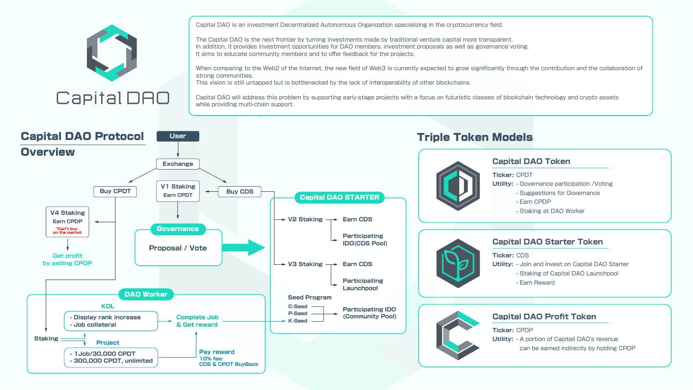Capital DAO is an investment Decentralized Autonomous Organization specializing in the cryptocurrency field.

The Capital DAO is the next frontier by turning investments made by traditional venture capital more transparent. In addition, it provides investment opportunities for DAO members, investment proposals as well as governance voting. It aims to educate community members and to offer feedback for the projects.

When comparing to the Web2 of the Internet, the new field of Web3 is currently expected to grow significantly through the contribution and the collaboration of

strong communities.

while providing multi-chain support.

Capital DAO

- This vision is still untapped but is bottlenecked by the lack of interoperability of other blockchains.
- Capital DAO will address this problem by supporting early-stage projects with a focus on futuristic classes of blockchain technology and crypto assets